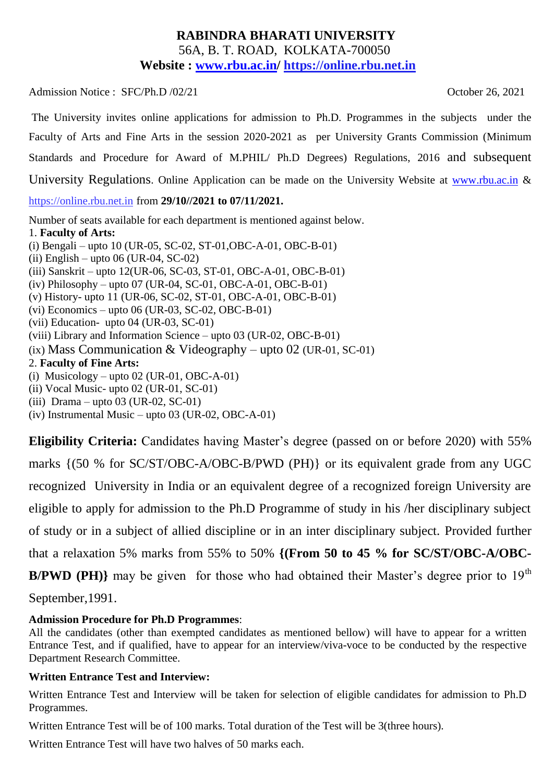#### **RABINDRA BHARATI UNIVERSITY** 56A, B. T. ROAD, KOLKATA-700050 **Website : [www.rbu.ac.in/](http://www.rbu.ac.in/) https://online.rbu.net.in**

Admission Notice : SFC/Ph.D /02/21 Contract 2021

The University invites online applications for admission to Ph.D. Programmes in the subjects under the Faculty of Arts and Fine Arts in the session 2020-2021 as per University Grants Commission (Minimum Standards and Procedure for Award of M.PHIL/ Ph.D Degrees) Regulations, 2016 and subsequent University Regulations. Online Application can be made on the University Website at [www.rbu.ac.in](http://www.rbu.ac.in/) & https://online.rbu.net.in from **29/10//2021 to 07/11/2021.** Number of seats available for each department is mentioned against below. 1. **Faculty of Arts:**

(i) Bengali – upto 10 (UR-05, SC-02, ST-01,OBC-A-01, OBC-B-01) (ii) English – upto 06 (UR-04, SC-02) (iii) Sanskrit – upto 12(UR-06, SC-03, ST-01, OBC-A-01, OBC-B-01) (iv) Philosophy – upto 07 (UR-04, SC-01, OBC-A-01, OBC-B-01) (v) History- upto 11 (UR-06, SC-02, ST-01, OBC-A-01, OBC-B-01) (vi) Economics – upto 06 (UR-03, SC-02, OBC-B-01) (vii) Education- upto 04 (UR-03, SC-01) (viii) Library and Information Science – upto 03 (UR-02, OBC-B-01) (ix) Mass Communication & Videography – upto 02 (UR-01, SC-01) 2. **Faculty of Fine Arts:** (i) Musicology – upto 02 (UR-01, OBC-A-01) (ii) Vocal Music- upto 02 (UR-01, SC-01) (iii) Drama – upto 03 (UR-02, SC-01)

(iv) Instrumental Music – upto 03 (UR-02, OBC-A-01)

**Eligibility Criteria:** Candidates having Master's degree (passed on or before 2020) with 55% marks {(50 % for SC/ST/OBC-A/OBC-B/PWD (PH)} or its equivalent grade from any UGC recognized University in India or an equivalent degree of a recognized foreign University are eligible to apply for admission to the Ph.D Programme of study in his /her disciplinary subject of study or in a subject of allied discipline or in an inter disciplinary subject. Provided further that a relaxation 5% marks from 55% to 50% **{(From 50 to 45 % for SC/ST/OBC-A/OBC-**

**B/PWD (PH)**} may be given for those who had obtained their Master's degree prior to  $19<sup>th</sup>$ 

September,1991.

#### **Admission Procedure for Ph.D Programmes**:

All the candidates (other than exempted candidates as mentioned bellow) will have to appear for a written Entrance Test, and if qualified, have to appear for an interview/viva-voce to be conducted by the respective Department Research Committee.

#### **Written Entrance Test and Interview:**

Written Entrance Test and Interview will be taken for selection of eligible candidates for admission to Ph.D Programmes.

Written Entrance Test will be of 100 marks. Total duration of the Test will be 3(three hours).

Written Entrance Test will have two halves of 50 marks each.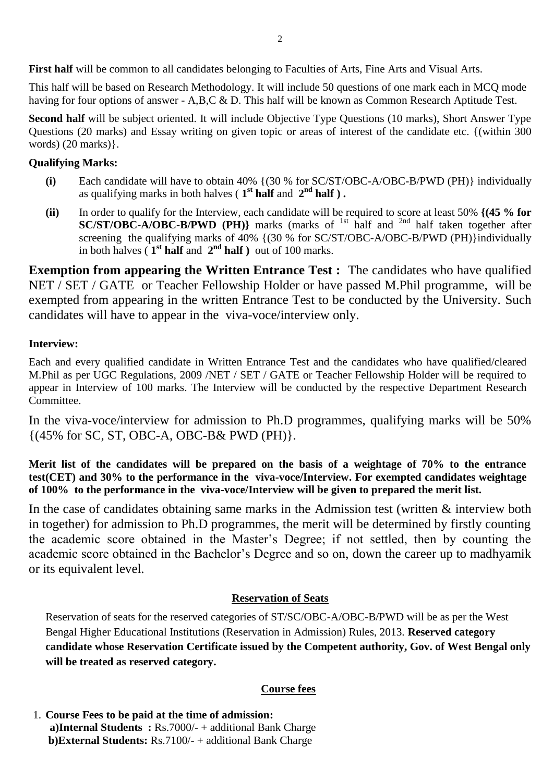**First half** will be common to all candidates belonging to Faculties of Arts, Fine Arts and Visual Arts.

This half will be based on Research Methodology. It will include 50 questions of one mark each in MCQ mode having for four options of answer - A,B,C & D. This half will be known as Common Research Aptitude Test.

**Second half** will be subject oriented. It will include Objective Type Questions (10 marks), Short Answer Type Questions (20 marks) and Essay writing on given topic or areas of interest of the candidate etc. {(within 300 words) (20 marks)}.

#### **Qualifying Marks:**

- **(i)** Each candidate will have to obtain 40% {(30 % for SC/ST/OBC-A/OBC-B/PWD (PH)} individually as qualifying marks in both halves ( **1 st half** and **2 nd half ) .**
- **(ii)** In order to qualify for the Interview, each candidate will be required to score at least 50% **{(45 % for SC/ST/OBC-A/OBC-B/PWD (PH)**} marks (marks of <sup>1st</sup> half and <sup>2nd</sup> half taken together after screening the qualifying marks of 40% {(30 % for SC/ST/OBC-A/OBC-B/PWD (PH)}individually in both halves  $(1<sup>st</sup>$  **half** and  $2<sup>nd</sup>$  **half**) out of 100 marks.

**Exemption from appearing the Written Entrance Test :** The candidates who have qualified NET / SET / GATE or Teacher Fellowship Holder or have passed M.Phil programme, will be exempted from appearing in the written Entrance Test to be conducted by the University. Such candidates will have to appear in the viva-voce/interview only.

#### **Interview:**

Each and every qualified candidate in Written Entrance Test and the candidates who have qualified/cleared M.Phil as per UGC Regulations, 2009 /NET / SET / GATE or Teacher Fellowship Holder will be required to appear in Interview of 100 marks. The Interview will be conducted by the respective Department Research Committee.

In the viva-voce/interview for admission to Ph.D programmes, qualifying marks will be 50% {(45% for SC, ST, OBC-A, OBC-B& PWD (PH)}.

**Merit list of the candidates will be prepared on the basis of a weightage of 70% to the entrance test(CET) and 30% to the performance in the viva-voce/Interview. For exempted candidates weightage of 100% to the performance in the viva-voce/Interview will be given to prepared the merit list.**

In the case of candidates obtaining same marks in the Admission test (written & interview both in together) for admission to Ph.D programmes, the merit will be determined by firstly counting the academic score obtained in the Master's Degree; if not settled, then by counting the academic score obtained in the Bachelor's Degree and so on, down the career up to madhyamik or its equivalent level.

#### **Reservation of Seats**

Reservation of seats for the reserved categories of ST/SC/OBC-A/OBC-B/PWD will be as per the West Bengal Higher Educational Institutions (Reservation in Admission) Rules, 2013. **Reserved category candidate whose Reservation Certificate issued by the Competent authority, Gov. of West Bengal only will be treated as reserved category.** 

#### **Course fees**

1. **Course Fees to be paid at the time of admission: a)Internal Students :** Rs.7000/- + additional Bank Charge  **b)External Students:** Rs.7100/- + additional Bank Charge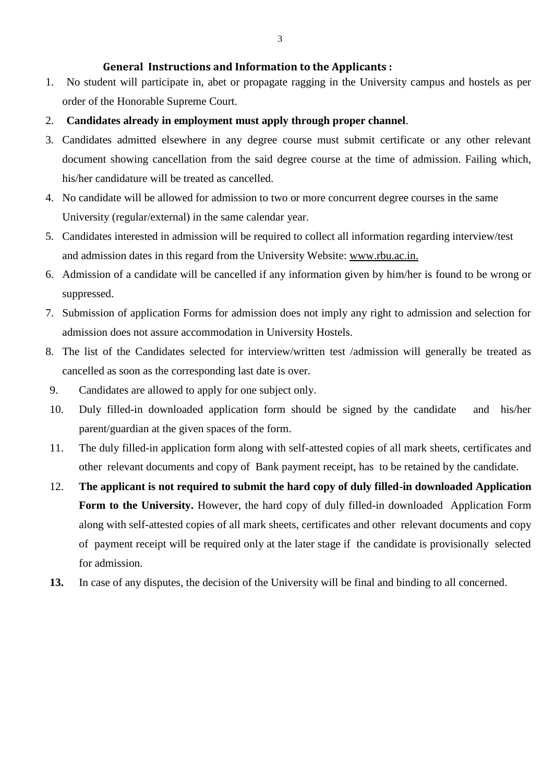#### **General Instructions and Information to the Applicants :**

- 1. No student will participate in, abet or propagate ragging in the University campus and hostels as per order of the Honorable Supreme Court.
- 2. **Candidates already in employment must apply through proper channel**.
- 3. Candidates admitted elsewhere in any degree course must submit certificate or any other relevant document showing cancellation from the said degree course at the time of admission. Failing which, his/her candidature will be treated as cancelled.
- 4. No candidate will be allowed for admission to two or more concurrent degree courses in the same University (regular/external) in the same calendar year.
- 5. Candidates interested in admission will be required to collect all information regarding interview/test and admission dates in this regard from the University Website: www.rbu.ac.in.
- 6. Admission of a candidate will be cancelled if any information given by him/her is found to be wrong or suppressed.
- 7. Submission of application Forms for admission does not imply any right to admission and selection for admission does not assure accommodation in University Hostels.
- 8. The list of the Candidates selected for interview/written test /admission will generally be treated as cancelled as soon as the corresponding last date is over.
- 9. Candidates are allowed to apply for one subject only.
- 10. Duly filled-in downloaded application form should be signed by the candidate and his/her parent/guardian at the given spaces of the form.
- 11. The duly filled-in application form along with self-attested copies of all mark sheets, certificates and other relevant documents and copy of Bank payment receipt, has to be retained by the candidate.
- 12. **The applicant is not required to submit the hard copy of duly filled-in downloaded Application Form to the University.** However, the hard copy of duly filled-in downloaded Application Form along with self-attested copies of all mark sheets, certificates and other relevant documents and copy of payment receipt will be required only at the later stage if the candidate is provisionally selected for admission.
- **13.** In case of any disputes, the decision of the University will be final and binding to all concerned.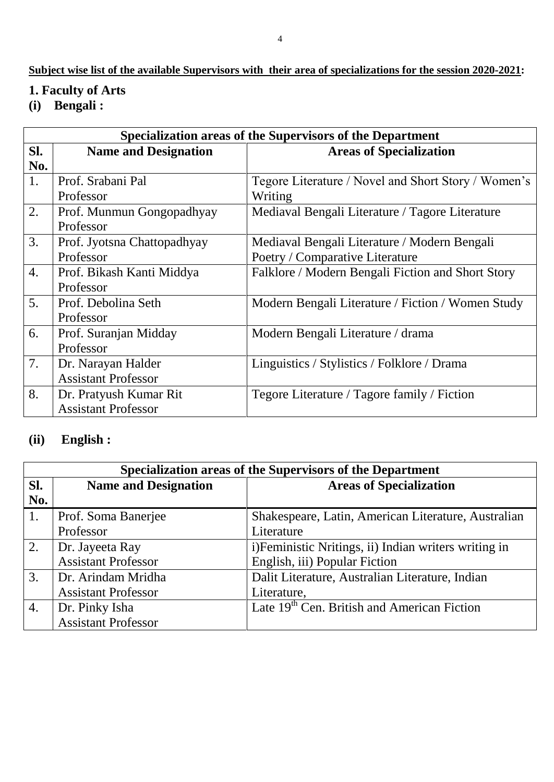### **Subject wise list of the available Supervisors with their area of specializations for the session 2020-2021:**

## **1. Faculty of Arts**

**(i) Bengali :**

|                  | Specialization areas of the Supervisors of the Department |                                                     |  |
|------------------|-----------------------------------------------------------|-----------------------------------------------------|--|
| SI.              | <b>Name and Designation</b>                               | <b>Areas of Specialization</b>                      |  |
| No.              |                                                           |                                                     |  |
| 1.               | Prof. Srabani Pal                                         | Tegore Literature / Novel and Short Story / Women's |  |
|                  | Professor                                                 | Writing                                             |  |
| 2.               | Prof. Munmun Gongopadhyay                                 | Mediaval Bengali Literature / Tagore Literature     |  |
|                  | Professor                                                 |                                                     |  |
| 3.               | Prof. Jyotsna Chattopadhyay                               | Mediaval Bengali Literature / Modern Bengali        |  |
|                  | Professor                                                 | Poetry / Comparative Literature                     |  |
| $\overline{4}$ . | Prof. Bikash Kanti Middya                                 | Falklore / Modern Bengali Fiction and Short Story   |  |
|                  | Professor                                                 |                                                     |  |
| 5.               | Prof. Debolina Seth                                       | Modern Bengali Literature / Fiction / Women Study   |  |
|                  | Professor                                                 |                                                     |  |
| 6.               | Prof. Suranjan Midday                                     | Modern Bengali Literature / drama                   |  |
|                  | Professor                                                 |                                                     |  |
| 7.               | Dr. Narayan Halder                                        | Linguistics / Stylistics / Folklore / Drama         |  |
|                  | <b>Assistant Professor</b>                                |                                                     |  |
| 8.               | Dr. Pratyush Kumar Rit                                    | Tegore Literature / Tagore family / Fiction         |  |
|                  | <b>Assistant Professor</b>                                |                                                     |  |

### **(ii) English :**

| Specialization areas of the Supervisors of the Department |                             |                                                         |
|-----------------------------------------------------------|-----------------------------|---------------------------------------------------------|
| SI.                                                       | <b>Name and Designation</b> | <b>Areas of Specialization</b>                          |
| No.                                                       |                             |                                                         |
| $\mathbf{1}$ .                                            | Prof. Soma Banerjee         | Shakespeare, Latin, American Literature, Australian     |
|                                                           | Professor                   | Literature                                              |
| 2.                                                        | Dr. Jayeeta Ray             | i) Feministic Nritings, ii) Indian writers writing in   |
|                                                           | <b>Assistant Professor</b>  | English, iii) Popular Fiction                           |
| 3.                                                        | Dr. Arindam Mridha          | Dalit Literature, Australian Literature, Indian         |
|                                                           | <b>Assistant Professor</b>  | Literature,                                             |
| 4.                                                        | Dr. Pinky Isha              | Late 19 <sup>th</sup> Cen. British and American Fiction |
|                                                           | <b>Assistant Professor</b>  |                                                         |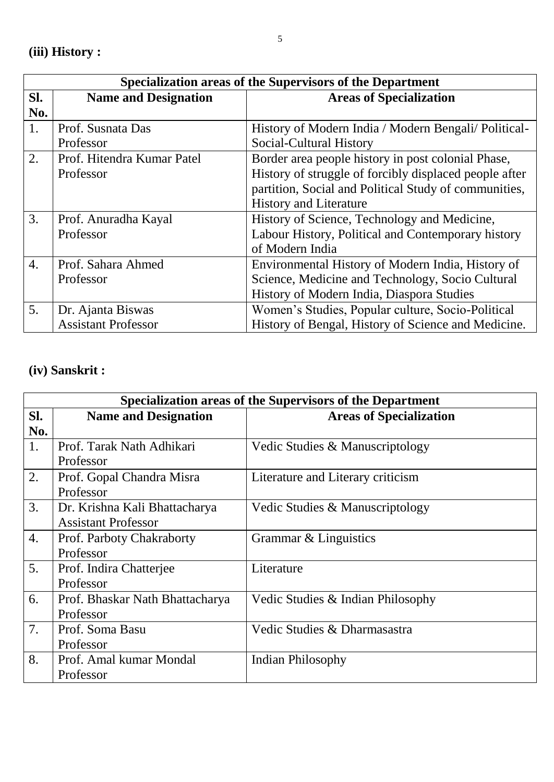|                  | Specialization areas of the Supervisors of the Department |                                                        |  |
|------------------|-----------------------------------------------------------|--------------------------------------------------------|--|
| SI.              | <b>Name and Designation</b>                               | <b>Areas of Specialization</b>                         |  |
| No.              |                                                           |                                                        |  |
| 1.               | Prof. Susnata Das                                         | History of Modern India / Modern Bengali/ Political-   |  |
|                  | Professor                                                 | Social-Cultural History                                |  |
| 2.               | Prof. Hitendra Kumar Patel                                | Border area people history in post colonial Phase,     |  |
|                  | Professor                                                 | History of struggle of forcibly displaced people after |  |
|                  |                                                           | partition, Social and Political Study of communities,  |  |
|                  |                                                           | <b>History and Literature</b>                          |  |
| 3.               | Prof. Anuradha Kayal                                      | History of Science, Technology and Medicine,           |  |
|                  | Professor                                                 | Labour History, Political and Contemporary history     |  |
|                  |                                                           | of Modern India                                        |  |
| $\overline{4}$ . | Prof. Sahara Ahmed                                        | Environmental History of Modern India, History of      |  |
|                  | Professor                                                 | Science, Medicine and Technology, Socio Cultural       |  |
|                  |                                                           | History of Modern India, Diaspora Studies              |  |
| 5.               | Dr. Ajanta Biswas                                         | Women's Studies, Popular culture, Socio-Political      |  |
|                  | <b>Assistant Professor</b>                                | History of Bengal, History of Science and Medicine.    |  |

# **(iv) Sanskrit :**

|     | Specialization areas of the Supervisors of the Department |                                   |  |
|-----|-----------------------------------------------------------|-----------------------------------|--|
| SI. | <b>Name and Designation</b>                               | <b>Areas of Specialization</b>    |  |
| No. |                                                           |                                   |  |
| 1.  | Prof. Tarak Nath Adhikari                                 | Vedic Studies & Manuscriptology   |  |
|     | Professor                                                 |                                   |  |
| 2.  | Prof. Gopal Chandra Misra                                 | Literature and Literary criticism |  |
|     | Professor                                                 |                                   |  |
| 3.  | Dr. Krishna Kali Bhattacharya                             | Vedic Studies & Manuscriptology   |  |
|     | <b>Assistant Professor</b>                                |                                   |  |
| 4.  | Prof. Parboty Chakraborty                                 | Grammar & Linguistics             |  |
|     | Professor                                                 |                                   |  |
| 5.  | Prof. Indira Chatterjee                                   | Literature                        |  |
|     | Professor                                                 |                                   |  |
| 6.  | Prof. Bhaskar Nath Bhattacharya                           | Vedic Studies & Indian Philosophy |  |
|     | Professor                                                 |                                   |  |
| 7.  | Prof. Soma Basu                                           | Vedic Studies & Dharmasastra      |  |
|     | Professor                                                 |                                   |  |
| 8.  | Prof. Amal kumar Mondal                                   | <b>Indian Philosophy</b>          |  |
|     | Professor                                                 |                                   |  |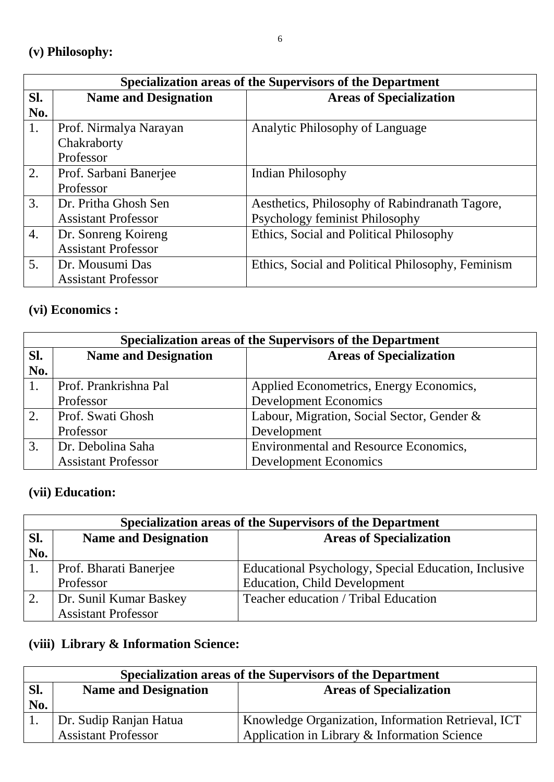|            | Specialization areas of the Supervisors of the Department |                                                                                  |  |
|------------|-----------------------------------------------------------|----------------------------------------------------------------------------------|--|
| SI.<br>No. | <b>Name and Designation</b>                               | <b>Areas of Specialization</b>                                                   |  |
| 1.         | Prof. Nirmalya Narayan<br>Chakraborty<br>Professor        | Analytic Philosophy of Language                                                  |  |
| 2.         | Prof. Sarbani Banerjee<br>Professor                       | Indian Philosophy                                                                |  |
| 3.         | Dr. Pritha Ghosh Sen<br><b>Assistant Professor</b>        | Aesthetics, Philosophy of Rabindranath Tagore,<br>Psychology feminist Philosophy |  |
| 4.         | Dr. Sonreng Koireng<br><b>Assistant Professor</b>         | Ethics, Social and Political Philosophy                                          |  |
| 5.         | Dr. Mousumi Das<br><b>Assistant Professor</b>             | Ethics, Social and Political Philosophy, Feminism                                |  |

## **(vi) Economics :**

| Specialization areas of the Supervisors of the Department |                             |                                            |
|-----------------------------------------------------------|-----------------------------|--------------------------------------------|
| SI.                                                       | <b>Name and Designation</b> | <b>Areas of Specialization</b>             |
| No.                                                       |                             |                                            |
| 1.                                                        | Prof. Prankrishna Pal       | Applied Econometrics, Energy Economics,    |
|                                                           | Professor                   | <b>Development Economics</b>               |
| 2.                                                        | Prof. Swati Ghosh           | Labour, Migration, Social Sector, Gender & |
|                                                           | Professor                   | Development                                |
| 3.                                                        | Dr. Debolina Saha           | Environmental and Resource Economics,      |
|                                                           | <b>Assistant Professor</b>  | <b>Development Economics</b>               |

## **(vii) Education:**

| Specialization areas of the Supervisors of the Department |                             |                                                      |
|-----------------------------------------------------------|-----------------------------|------------------------------------------------------|
| SI.                                                       | <b>Name and Designation</b> | <b>Areas of Specialization</b>                       |
| No.                                                       |                             |                                                      |
|                                                           | Prof. Bharati Banerjee      | Educational Psychology, Special Education, Inclusive |
|                                                           | Professor                   | <b>Education, Child Development</b>                  |
| 2.                                                        | Dr. Sunil Kumar Baskey      | Teacher education / Tribal Education                 |
|                                                           | <b>Assistant Professor</b>  |                                                      |

## **(viii) Library & Information Science:**

| Specialization areas of the Supervisors of the Department |                             |                                                    |
|-----------------------------------------------------------|-----------------------------|----------------------------------------------------|
| SI.                                                       | <b>Name and Designation</b> | <b>Areas of Specialization</b>                     |
| No.                                                       |                             |                                                    |
|                                                           | Dr. Sudip Ranjan Hatua      | Knowledge Organization, Information Retrieval, ICT |
|                                                           | <b>Assistant Professor</b>  | Application in Library & Information Science       |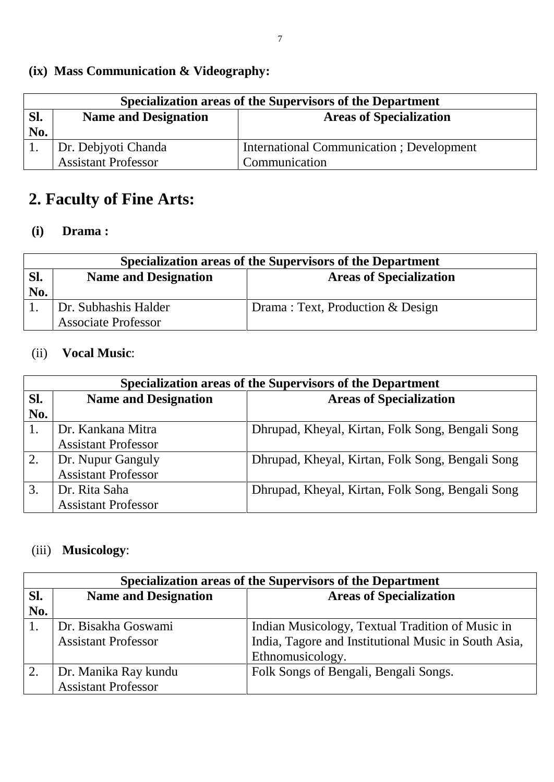# **(ix) Mass Communication & Videography:**

| Specialization areas of the Supervisors of the Department |                             |                                          |
|-----------------------------------------------------------|-----------------------------|------------------------------------------|
| SI.                                                       | <b>Name and Designation</b> | <b>Areas of Specialization</b>           |
| No.                                                       |                             |                                          |
|                                                           | Dr. Debjyoti Chanda         | International Communication; Development |
|                                                           | <b>Assistant Professor</b>  | Communication                            |

# **2. Faculty of Fine Arts:**

### **(i) Drama :**

| Specialization areas of the Supervisors of the Department |                             |                                  |
|-----------------------------------------------------------|-----------------------------|----------------------------------|
| Sl.                                                       | <b>Name and Designation</b> | <b>Areas of Specialization</b>   |
| No.                                                       |                             |                                  |
|                                                           | Dr. Subhashis Halder        | Drama: Text, Production & Design |
|                                                           | <b>Associate Professor</b>  |                                  |

### (ii) **Vocal Music**:

|     | Specialization areas of the Supervisors of the Department |                                                  |  |
|-----|-----------------------------------------------------------|--------------------------------------------------|--|
| Sl. | <b>Name and Designation</b>                               | <b>Areas of Specialization</b>                   |  |
| No. |                                                           |                                                  |  |
|     | Dr. Kankana Mitra                                         | Dhrupad, Kheyal, Kirtan, Folk Song, Bengali Song |  |
|     | <b>Assistant Professor</b>                                |                                                  |  |
| 2.  | Dr. Nupur Ganguly                                         | Dhrupad, Kheyal, Kirtan, Folk Song, Bengali Song |  |
|     | <b>Assistant Professor</b>                                |                                                  |  |
| 3.  | Dr. Rita Saha                                             | Dhrupad, Kheyal, Kirtan, Folk Song, Bengali Song |  |
|     | <b>Assistant Professor</b>                                |                                                  |  |

# (iii) **Musicology**:

| Specialization areas of the Supervisors of the Department |                             |                                                      |
|-----------------------------------------------------------|-----------------------------|------------------------------------------------------|
| SI.                                                       | <b>Name and Designation</b> | <b>Areas of Specialization</b>                       |
| No.                                                       |                             |                                                      |
|                                                           | Dr. Bisakha Goswami         | Indian Musicology, Textual Tradition of Music in     |
|                                                           | <b>Assistant Professor</b>  | India, Tagore and Institutional Music in South Asia, |
|                                                           |                             | Ethnomusicology.                                     |
| 2.                                                        | Dr. Manika Ray kundu        | Folk Songs of Bengali, Bengali Songs.                |
|                                                           | <b>Assistant Professor</b>  |                                                      |